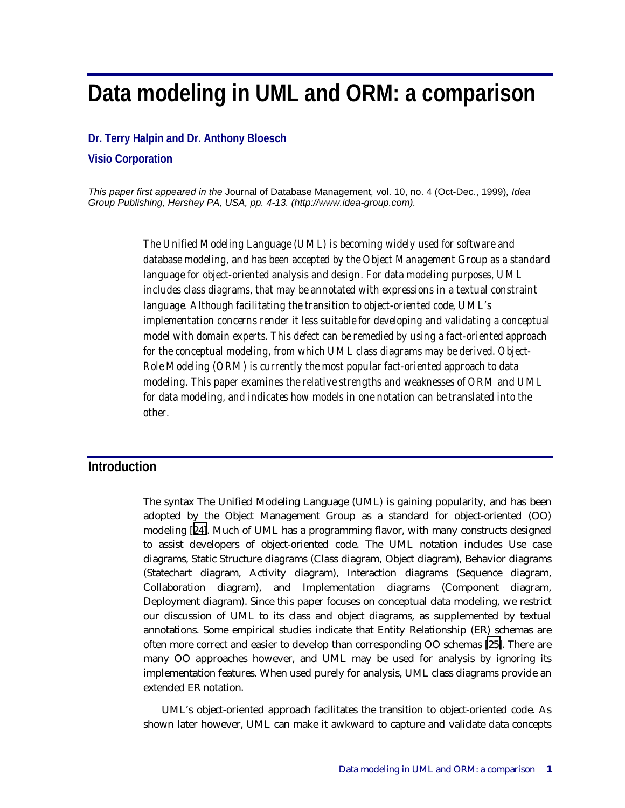# **Data modeling in UML and ORM: a comparison**

#### **Dr. Terry Halpin and Dr. Anthony Bloesch**

#### **Visio Corporation**

*This paper first appeared in the* Journal of Database Management*,* vol. 10, no. 4 (Oct-Dec., 1999)*, Idea Group Publishing, Hershey PA, USA, pp. 4-13. (http://www.idea-group.com).*

> *The Unified Modeling Language (UML) is becoming widely used for software and database modeling, and has been accepted by the Object Management Group as a standard language for object-oriented analysis and design. For data modeling purposes, UML includes class diagrams, that may be annotated with expressions in a textual constraint language. Although facilitating the transition to object-oriented code, UML's implementation concerns render it less suitable for developing and validating a conceptual model with domain experts. This defect can be remedied by using a fact-oriented approach for the conceptual modeling, from which UML class diagrams may be derived. Object-Role Modeling (ORM) is currently the most popular fact-oriented approach to data modeling. This paper examines the relative strengths and weaknesses of ORM and UML for data modeling, and indicates how models in one notation can be translated into the other.*

#### **Introduction**

The syntax The Unified Modeling Language (UML) is gaining popularity, and has been adopted by the Object Management Group as a standard for object-oriented (OO) modeling [[24\]](#page-16-0). Much of UML has a programming flavor, with many constructs designed to assist developers of object-oriented code. The UML notation includes Use case diagrams, Static Structure diagrams (Class diagram, Object diagram), Behavior diagrams (Statechart diagram, Activity diagram), Interaction diagrams (Sequence diagram, Collaboration diagram), and Implementation diagrams (Component diagram, Deployment diagram). Since this paper focuses on conceptual data modeling, we restrict our discussion of UML to its class and object diagrams, as supplemented by textual annotations. Some empirical studies indicate that Entity Relationship (ER) schemas are often more correct and easier to develop than corresponding OO schemas [\[25\]](#page-16-0). There are many OO approaches however, and UML may be used for analysis by ignoring its implementation features. When used purely for analysis, UML class diagrams provide an extended ER notation.

UML's object-oriented approach facilitates the transition to object-oriented code. As shown later however, UML can make it awkward to capture and validate data concepts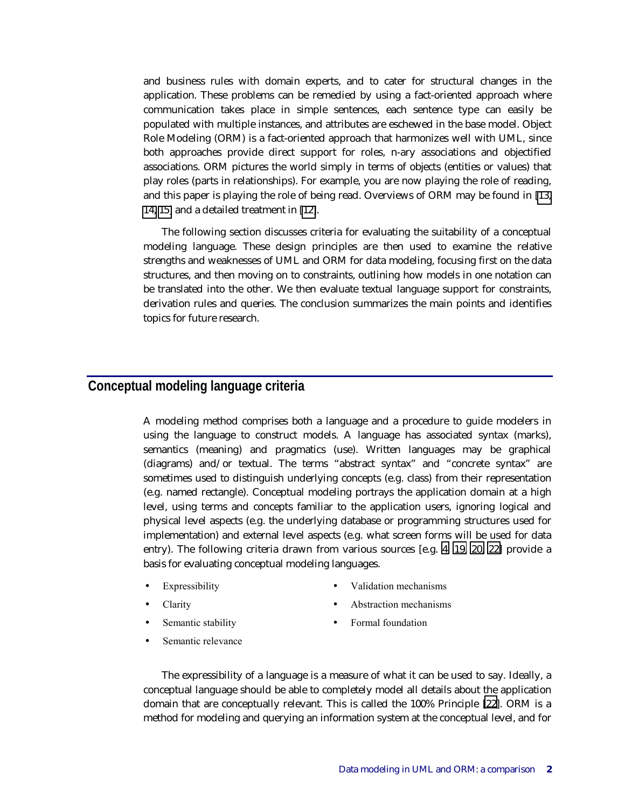and business rules with domain experts, and to cater for structural changes in the application. These problems can be remedied by using a fact-oriented approach where communication takes place in simple sentences, each sentence type can easily be populated with multiple instances, and attributes are eschewed in the base model. Object Role Modeling (ORM) is a fact-oriented approach that harmonizes well with UML, since both approaches provide direct support for roles, n-ary associations and objectified associations. ORM pictures the world simply in terms of objects (entities or values) that play roles (parts in relationships). For example, you are now playing the role of reading, and this paper is playing the role of being read. Overviews of ORM may be found in [\[13,](#page-16-0) [14, 15\]](#page-16-0) and a detailed treatment in [\[12\]](#page-16-0).

The following section discusses criteria for evaluating the suitability of a conceptual modeling language. These design principles are then used to examine the relative strengths and weaknesses of UML and ORM for data modeling, focusing first on the data structures, and then moving on to constraints, outlining how models in one notation can be translated into the other. We then evaluate textual language support for constraints, derivation rules and queries. The conclusion summarizes the main points and identifies topics for future research.

# **Conceptual modeling language criteria**

A modeling method comprises both a language and a procedure to guide modelers in using the language to construct models. A language has associated syntax (marks), semantics (meaning) and pragmatics (use). Written languages may be graphical (diagrams) and/or textual. The terms "abstract syntax" and "concrete syntax" are sometimes used to distinguish underlying concepts (e.g. class) from their representation (e.g. named rectangle). Conceptual modeling portrays the application domain at a high level, using terms and concepts familiar to the application users, ignoring logical and physical level aspects (e.g. the underlying database or programming structures used for implementation) and external level aspects (e.g. what screen forms will be used for data entry). The following criteria drawn from various sources [e.g. [4,](#page-15-0) [19,](#page-16-0) [20,](#page-16-0) [22\]](#page-16-0) provide a basis for evaluating conceptual modeling languages.

- **Expressibility**
- Clarity
- Validation mechanisms
- Abstraction mechanisms

• Semantic stability

- Formal foundation
- 
- Semantic relevance

The expressibility of a language is a measure of what it can be used to say. Ideally, a conceptual language should be able to completely model all details about the application domain that are conceptually relevant. This is called the 100% Principle [\[22\]](#page-16-0). ORM is a method for modeling and querying an information system at the conceptual level, and for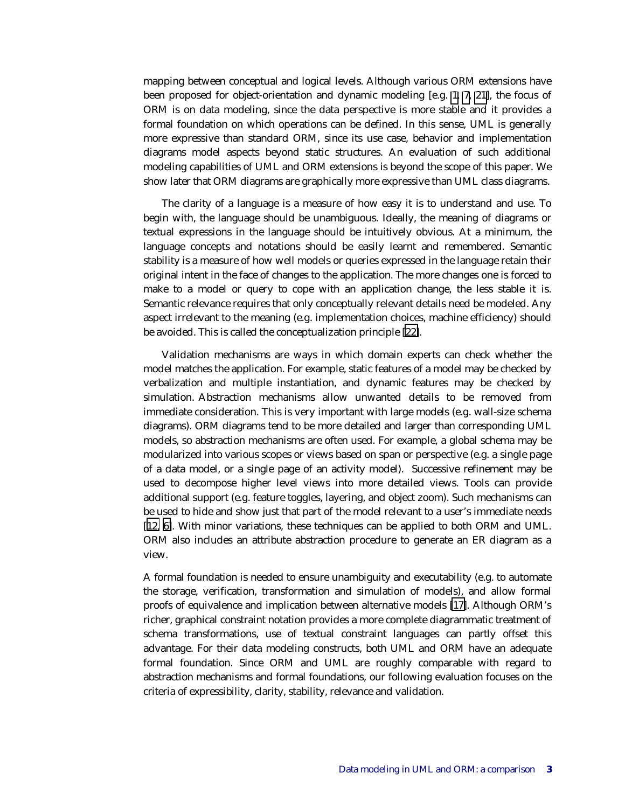mapping between conceptual and logical levels. Although various ORM extensions have been proposed for object-orientation and dynamic modeling [e.g. [1,](#page-15-0) [7,](#page-15-0) [21\]](#page-16-0), the focus of ORM is on data modeling, since the data perspective is more stable and it provides a formal foundation on which operations can be defined. In this sense, UML is generally more expressive than standard ORM, since its use case, behavior and implementation diagrams model aspects beyond static structures. An evaluation of such additional modeling capabilities of UML and ORM extensions is beyond the scope of this paper. We show later that ORM diagrams are graphically more expressive than UML class diagrams.

The clarity of a language is a measure of how easy it is to understand and use. To begin with, the language should be unambiguous. Ideally, the meaning of diagrams or textual expressions in the language should be intuitively obvious. At a minimum, the language concepts and notations should be easily learnt and remembered. Semantic stability is a measure of how well models or queries expressed in the language retain their original intent in the face of changes to the application. The more changes one is forced to make to a model or query to cope with an application change, the less stable it is. Semantic relevance requires that only conceptually relevant details need be modeled. Any aspect irrelevant to the meaning (e.g. implementation choices, machine efficiency) should be avoided. This is called the conceptualization principle [\[22\]](#page-16-0).

Validation mechanisms are ways in which domain experts can check whether the model matches the application. For example, static features of a model may be checked by verbalization and multiple instantiation, and dynamic features may be checked by simulation. Abstraction mechanisms allow unwanted details to be removed from immediate consideration. This is very important with large models (e.g. wall-size schema diagrams). ORM diagrams tend to be more detailed and larger than corresponding UML models, so abstraction mechanisms are often used. For example, a global schema may be modularized into various scopes or views based on span or perspective (e.g. a single page of a data model, or a single page of an activity model). Successive refinement may be used to decompose higher level views into more detailed views. Tools can provide additional support (e.g. feature toggles, layering, and object zoom). Such mechanisms can be used to hide and show just that part of the model relevant to a user's immediate needs [[12,](#page-16-0) [6\]](#page-15-0). With minor variations, these techniques can be applied to both ORM and UML. ORM also includes an attribute abstraction procedure to generate an ER diagram as a view.

A formal foundation is needed to ensure unambiguity and executability (e.g. to automate the storage, verification, transformation and simulation of models), and allow formal proofs of equivalence and implication between alternative models [\[17\]](#page-16-0). Although ORM's richer, graphical constraint notation provides a more complete diagrammatic treatment of schema transformations, use of textual constraint languages can partly offset this advantage. For their data modeling constructs, both UML and ORM have an adequate formal foundation. Since ORM and UML are roughly comparable with regard to abstraction mechanisms and formal foundations, our following evaluation focuses on the criteria of expressibility, clarity, stability, relevance and validation.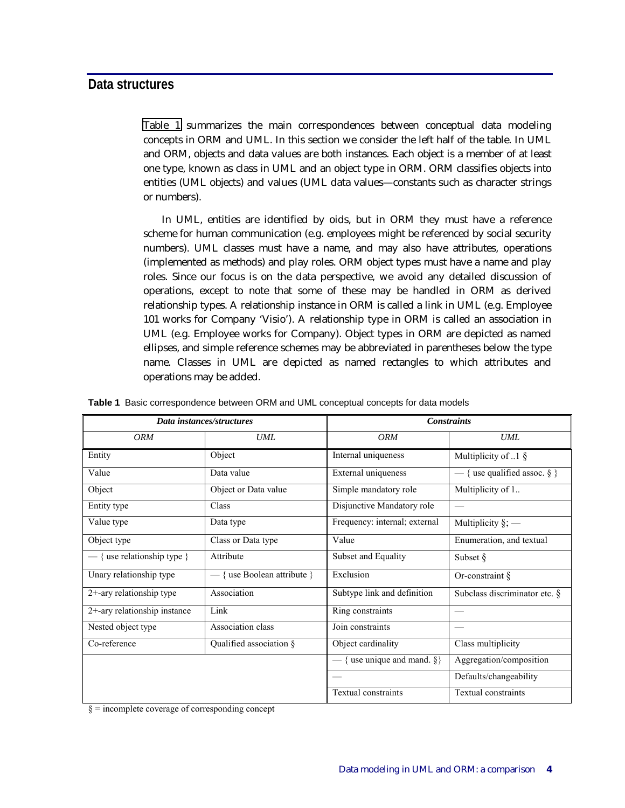## **Data structures**

Table 1 summarizes the main correspondences between conceptual data modeling concepts in ORM and UML. In this section we consider the left half of the table. In UML and ORM, objects and data values are both instances. Each object is a member of at least one type, known as class in UML and an object type in ORM. ORM classifies objects into entities (UML objects) and values (UML data values—constants such as character strings or numbers).

In UML, entities are identified by oids, but in ORM they must have a reference scheme for human communication (e.g. employees might be referenced by social security numbers). UML classes must have a name, and may also have attributes, operations (implemented as methods) and play roles. ORM object types must have a name and play roles. Since our focus is on the data perspective, we avoid any detailed discussion of operations, except to note that some of these may be handled in ORM as derived relationship types. A relationship instance in ORM is called a link in UML (e.g. Employee 101 works for Company 'Visio'). A relationship type in ORM is called an association in UML (e.g. Employee works for Company). Object types in ORM are depicted as named ellipses, and simple reference schemes may be abbreviated in parentheses below the type name. Classes in UML are depicted as named rectangles to which attributes and operations may be added.

| Data instances/structures     |                             | <b>Constraints</b>                        |                                 |
|-------------------------------|-----------------------------|-------------------------------------------|---------------------------------|
| <b>ORM</b>                    | <b>UML</b>                  | <b>ORM</b>                                | <b>UML</b>                      |
| Entity                        | Object                      | Internal uniqueness                       | Multiplicity of $.1 \S$         |
| Value                         | Data value                  | External uniqueness                       | — { use qualified assoc. $\S$ } |
| Object                        | Object or Data value        | Simple mandatory role                     | Multiplicity of 1               |
| Entity type                   | Class                       | Disjunctive Mandatory role                |                                 |
| Value type                    | Data type                   | Frequency: internal; external             | Multiplicity $\S$ ; —           |
| Object type                   | Class or Data type          | Value                                     | Enumeration, and textual        |
| $-$ { use relationship type } | Attribute                   | Subset and Equality                       | Subset $\S$                     |
| Unary relationship type       | - { use Boolean attribute } | Exclusion                                 | Or-constraint $\S$              |
| 2+-ary relationship type      | Association                 | Subtype link and definition               | Subclass discriminator etc. §   |
| 2+-ary relationship instance  | Link                        | Ring constraints                          |                                 |
| Nested object type            | Association class           | Join constraints                          |                                 |
| Co-reference                  | Qualified association $\S$  | Object cardinality                        | Class multiplicity              |
|                               |                             | $\overline{-}$ { use unique and mand. § } | Aggregation/composition         |
|                               |                             |                                           | Defaults/changeability          |
|                               |                             | <b>Textual constraints</b>                | Textual constraints             |

**Table 1** Basic correspondence between ORM and UML conceptual concepts for data models

§ = incomplete coverage of corresponding concept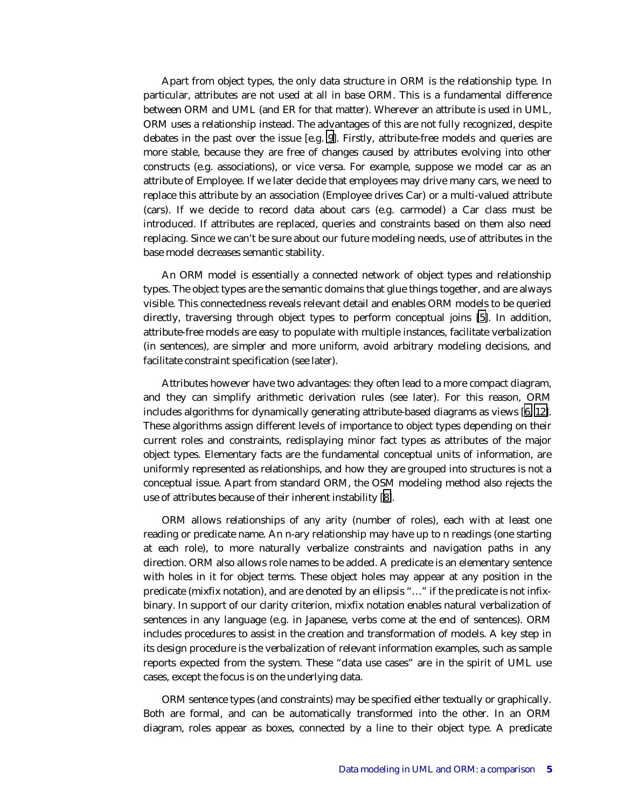Apart from object types, the only data structure in ORM is the relationship type. In particular, attributes are not used at all in base ORM. This is a fundamental difference between ORM and UML (and ER for that matter). Wherever an attribute is used in UML, ORM uses a relationship instead. The advantages of this are not fully recognized, despite debates in the past over the issue [e.g. [9\]](#page-16-0). Firstly, attribute-free models and queries are more stable, because they are free of changes caused by attributes evolving into other constructs (e.g. associations), or vice versa. For example, suppose we model car as an attribute of Employee. If we later decide that employees may drive many cars, we need to replace this attribute by an association (Employee drives Car) or a multi-valued attribute (cars). If we decide to record data about cars (e.g. carmodel) a Car class must be introduced. If attributes are replaced, queries and constraints based on them also need replacing. Since we can't be sure about our future modeling needs, use of attributes in the base model decreases semantic stability.

An ORM model is essentially a connected network of object types and relationship types. The object types are the semantic domains that glue things together, and are always visible. This connectedness reveals relevant detail and enables ORM models to be queried directly, traversing through object types to perform conceptual joins [\[5\]](#page-15-0). In addition, attribute-free models are easy to populate with multiple instances, facilitate verbalization (in sentences), are simpler and more uniform, avoid arbitrary modeling decisions, and facilitate constraint specification (see later).

Attributes however have two advantages: they often lead to a more compact diagram, and they can simplify arithmetic derivation rules (see later). For this reason, ORM includes algorithms for dynamically generating attribute-based diagrams as views [[6,](#page-15-0) [12\]](#page-16-0). These algorithms assign different levels of importance to object types depending on their current roles and constraints, redisplaying minor fact types as attributes of the major object types. Elementary facts are the fundamental conceptual units of information, are uniformly represented as relationships, and how they are grouped into structures is not a conceptual issue. Apart from standard ORM, the OSM modeling method also rejects the use of attributes because of their inherent instability [[8\]](#page-15-0).

ORM allows relationships of any arity (number of roles), each with at least one reading or predicate name. An n-ary relationship may have up to n readings (one starting at each role), to more naturally verbalize constraints and navigation paths in any direction. ORM also allows role names to be added. A predicate is an elementary sentence with holes in it for object terms. These object holes may appear at any position in the predicate (mixfix notation), and are denoted by an ellipsis "…" if the predicate is not infixbinary. In support of our clarity criterion, mixfix notation enables natural verbalization of sentences in any language (e.g. in Japanese, verbs come at the end of sentences). ORM includes procedures to assist in the creation and transformation of models. A key step in its design procedure is the verbalization of relevant information examples, such as sample reports expected from the system. These "data use cases" are in the spirit of UML use cases, except the focus is on the underlying data.

ORM sentence types (and constraints) may be specified either textually or graphically. Both are formal, and can be automatically transformed into the other. In an ORM diagram, roles appear as boxes, connected by a line to their object type. A predicate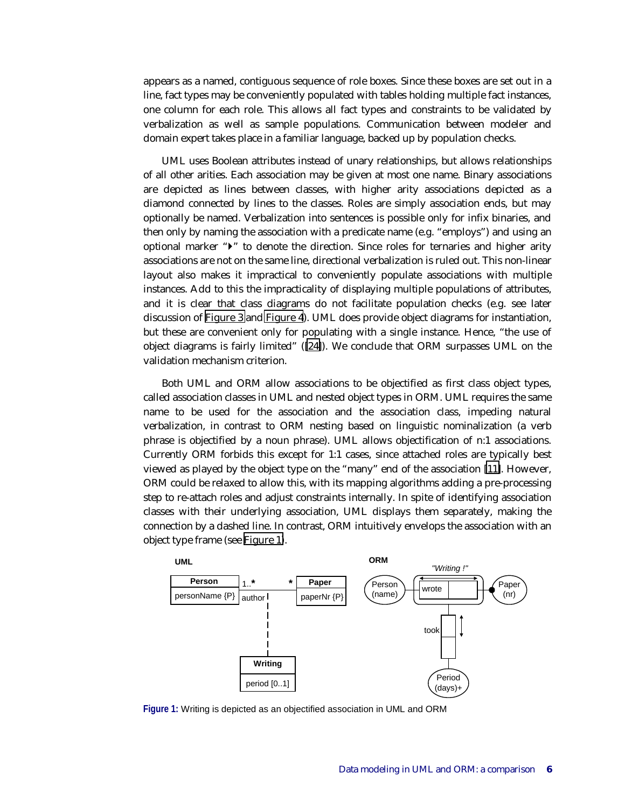<span id="page-5-0"></span>appears as a named, contiguous sequence of role boxes. Since these boxes are set out in a line, fact types may be conveniently populated with tables holding multiple fact instances, one column for each role. This allows all fact types and constraints to be validated by verbalization as well as sample populations. Communication between modeler and domain expert takes place in a familiar language, backed up by population checks.

UML uses Boolean attributes instead of unary relationships, but allows relationships of all other arities. Each association may be given at most one name. Binary associations are depicted as lines between classes, with higher arity associations depicted as a diamond connected by lines to the classes. Roles are simply association ends, but may optionally be named. Verbalization into sentences is possible only for infix binaries, and then only by naming the association with a predicate name (e.g. "employs") and using an optional marker " $\rightarrow$ " to denote the direction. Since roles for ternaries and higher arity associations are not on the same line, directional verbalization is ruled out. This non-linear layout also makes it impractical to conveniently populate associations with multiple instances. Add to this the impracticality of displaying multiple populations of attributes, and it is clear that class diagrams do not facilitate population checks (e.g. see later discussion of [Figure 3](#page-7-0) and [Figure 4](#page-8-0)). UML does provide object diagrams for instantiation, but these are convenient only for populating with a single instance. Hence, "the use of object diagrams is fairly limited" ([\[24\]](#page-16-0)). We conclude that ORM surpasses UML on the validation mechanism criterion.

Both UML and ORM allow associations to be objectified as first class object types, called association classes in UML and nested object types in ORM. UML requires the same name to be used for the association and the association class, impeding natural verbalization, in contrast to ORM nesting based on linguistic nominalization (a verb phrase is objectified by a noun phrase). UML allows objectification of n:1 associations. Currently ORM forbids this except for 1:1 cases, since attached roles are typically best viewed as played by the object type on the "many" end of the association [\[11\]](#page-16-0). However, ORM could be relaxed to allow this, with its mapping algorithms adding a pre-processing step to re-attach roles and adjust constraints internally. In spite of identifying association classes with their underlying association, UML displays them separately, making the connection by a dashed line. In contrast, ORM intuitively envelops the association with an object type frame (see Figure 1).



**Figure 1:** Writing is depicted as an objectified association in UML and ORM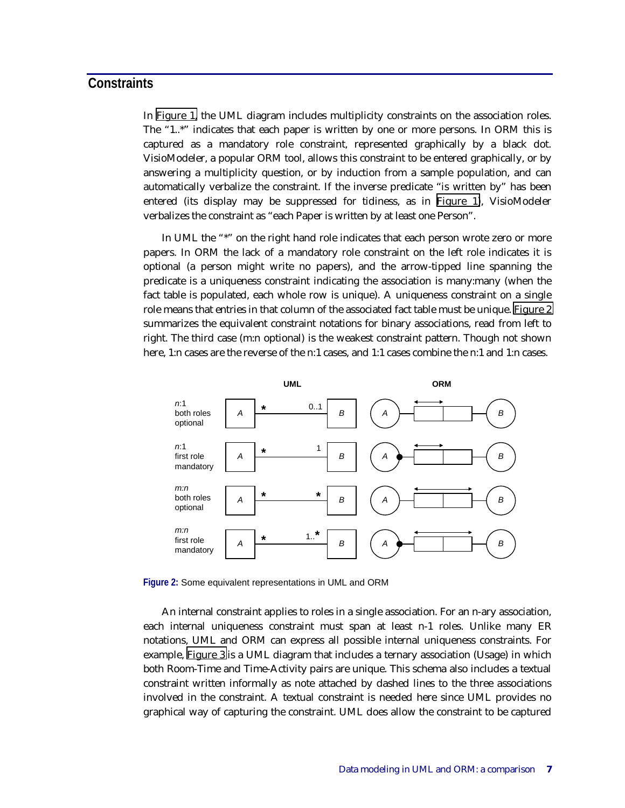## **Constraints**

In [Figure 1,](#page-5-0) the UML diagram includes multiplicity constraints on the association roles. The "1..\*" indicates that each paper is written by one or more persons. In ORM this is captured as a mandatory role constraint, represented graphically by a black dot. VisioModeler, a popular ORM tool, allows this constraint to be entered graphically, or by answering a multiplicity question, or by induction from a sample population, and can automatically verbalize the constraint. If the inverse predicate "is written by" has been entered (its display may be suppressed for tidiness, as in [Figure 1\)](#page-5-0), VisioModeler verbalizes the constraint as "each Paper is written by at least one Person".

In UML the "\*" on the right hand role indicates that each person wrote zero or more papers. In ORM the lack of a mandatory role constraint on the left role indicates it is optional (a person might write no papers), and the arrow-tipped line spanning the predicate is a uniqueness constraint indicating the association is many:many (when the fact table is populated, each whole row is unique). A uniqueness constraint on a single role means that entries in that column of the associated fact table must be unique. Figure 2 summarizes the equivalent constraint notations for binary associations, read from left to right. The third case (m:n optional) is the weakest constraint pattern. Though not shown here, 1:n cases are the reverse of the n:1 cases, and 1:1 cases combine the n:1 and 1:n cases.



**Figure 2:** Some equivalent representations in UML and ORM

An internal constraint applies to roles in a single association. For an n-ary association, each internal uniqueness constraint must span at least n-1 roles. Unlike many ER notations, UML and ORM can express all possible internal uniqueness constraints. For example, [Figure 3](#page-7-0) is a UML diagram that includes a ternary association (Usage) in which both Room-Time and Time-Activity pairs are unique. This schema also includes a textual constraint written informally as note attached by dashed lines to the three associations involved in the constraint. A textual constraint is needed here since UML provides no graphical way of capturing the constraint. UML does allow the constraint to be captured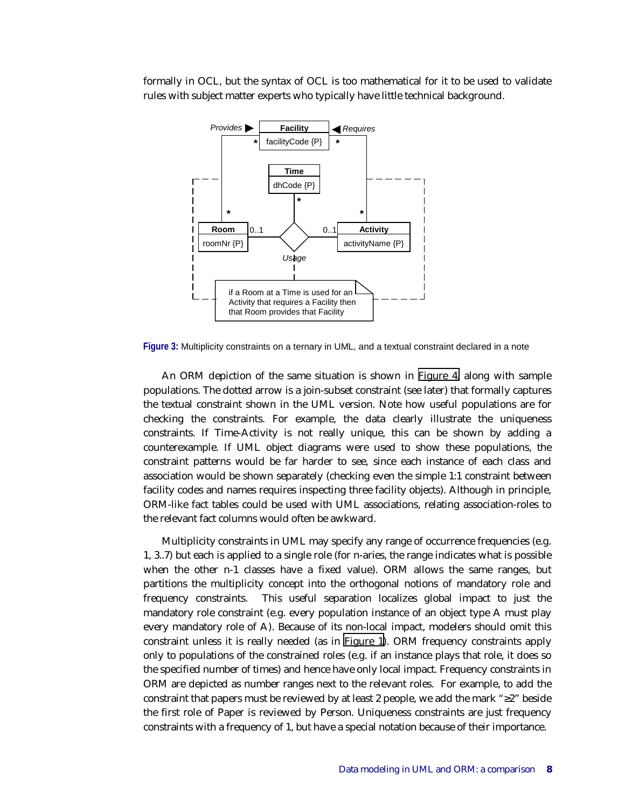<span id="page-7-0"></span>formally in OCL, but the syntax of OCL is too mathematical for it to be used to validate rules with subject matter experts who typically have little technical background.



**Figure 3:** Multiplicity constraints on a ternary in UML, and a textual constraint declared in a note

An ORM depiction of the same situation is shown in [Figure 4,](#page-8-0) along with sample populations. The dotted arrow is a join-subset constraint (see later) that formally captures the textual constraint shown in the UML version. Note how useful populations are for checking the constraints. For example, the data clearly illustrate the uniqueness constraints. If Time-Activity is not really unique, this can be shown by adding a counterexample. If UML object diagrams were used to show these populations, the constraint patterns would be far harder to see, since each instance of each class and association would be shown separately (checking even the simple 1:1 constraint between facility codes and names requires inspecting three facility objects). Although in principle, ORM-like fact tables could be used with UML associations, relating association-roles to the relevant fact columns would often be awkward.

Multiplicity constraints in UML may specify any range of occurrence frequencies (e.g. 1, 3..7) but each is applied to a single role (for n-aries, the range indicates what is possible when the other n-1 classes have a fixed value). ORM allows the same ranges, but partitions the multiplicity concept into the orthogonal notions of mandatory role and frequency constraints. This useful separation localizes global impact to just the mandatory role constraint (e.g. every population instance of an object type A must play every mandatory role of A). Because of its non-local impact, modelers should omit this constraint unless it is really needed (as in [Figure 1\)](#page-5-0). ORM frequency constraints apply only to populations of the constrained roles (e.g. if an instance plays that role, it does so the specified number of times) and hence have only local impact. Frequency constraints in ORM are depicted as number ranges next to the relevant roles. For example, to add the constraint that papers must be reviewed by at least 2 people, we add the mark "≥2" beside the first role of Paper is reviewed by Person. Uniqueness constraints are just frequency constraints with a frequency of 1, but have a special notation because of their importance.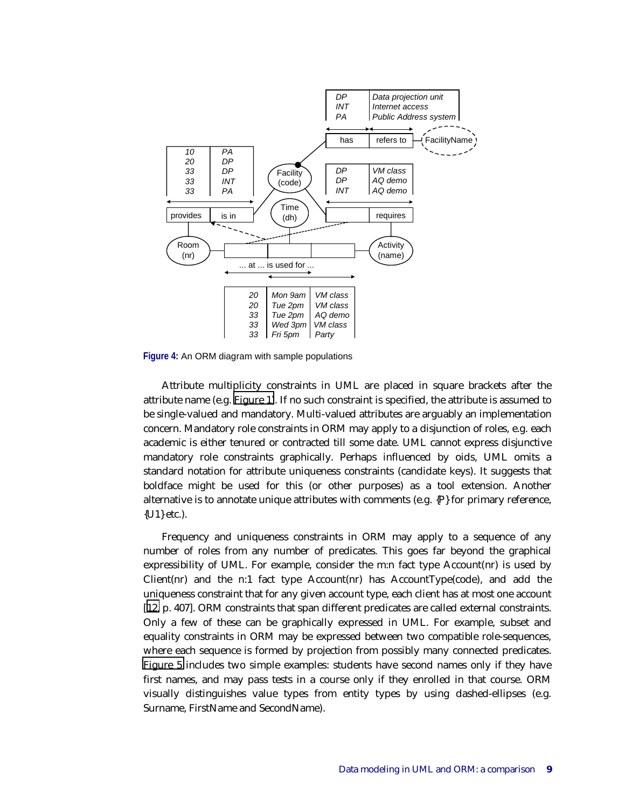<span id="page-8-0"></span>

**Figure 4:** An ORM diagram with sample populations

Attribute multiplicity constraints in UML are placed in square brackets after the attribute name (e.g. [Figure 1\)](#page-5-0). If no such constraint is specified, the attribute is assumed to be single-valued and mandatory. Multi-valued attributes are arguably an implementation concern. Mandatory role constraints in ORM may apply to a disjunction of roles, e.g. each academic is either tenured or contracted till some date. UML cannot express disjunctive mandatory role constraints graphically. Perhaps influenced by oids, UML omits a standard notation for attribute uniqueness constraints (candidate keys). It suggests that boldface might be used for this (or other purposes) as a tool extension. Another alternative is to annotate unique attributes with comments (e.g.  $\{P\}$  for primary reference, {U1} etc.).

Frequency and uniqueness constraints in ORM may apply to a sequence of any number of roles from any number of predicates. This goes far beyond the graphical expressibility of UML. For example, consider the m:n fact type Account(nr) is used by Client(nr) and the n:1 fact type Account(nr) has AccountType(code), and add the uniqueness constraint that for any given account type, each client has at most one account [[12,](#page-16-0) p. 407]. ORM constraints that span different predicates are called external constraints. Only a few of these can be graphically expressed in UML. For example, subset and equality constraints in ORM may be expressed between two compatible role-sequences, where each sequence is formed by projection from possibly many connected predicates. [Figure 5](#page-9-0) includes two simple examples: students have second names only if they have first names, and may pass tests in a course only if they enrolled in that course. ORM visually distinguishes value types from entity types by using dashed-ellipses (e.g. Surname, FirstName and SecondName).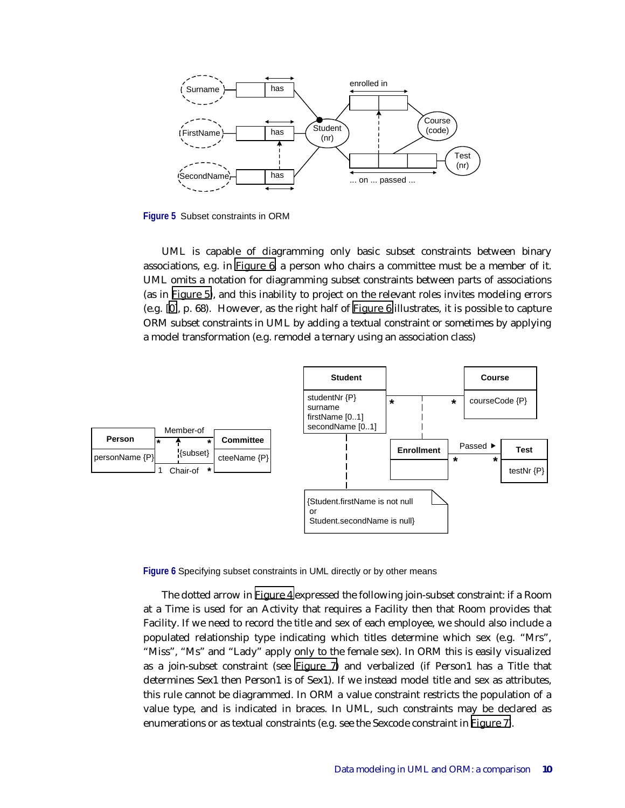<span id="page-9-0"></span>

**Figure 5** Subset constraints in ORM

UML is capable of diagramming only basic subset constraints between binary associations, e.g. in Figure 6, a person who chairs a committee must be a member of it. UML omits a notation for diagramming subset constraints between parts of associations (as in Figure 5), and this inability to project on the relevant roles invites modeling errors (e.g. [[0\]](#page-16-0), p. 68). However, as the right half of Figure 6 illustrates, it is possible to capture ORM subset constraints in UML by adding a textual constraint or sometimes by applying a model transformation (e.g. remodel a ternary using an association class)



**Figure 6** Specifying subset constraints in UML directly or by other means

The dotted arrow in [Figure 4](#page-8-0) expressed the following join-subset constraint: if a Room at a Time is used for an Activity that requires a Facility then that Room provides that Facility. If we need to record the title and sex of each employee, we should also include a populated relationship type indicating which titles determine which sex (e.g. "Mrs", "Miss", "Ms" and "Lady" apply only to the female sex). In ORM this is easily visualized as a join-subset constraint (see [Figure 7\)](#page-10-0) and verbalized (if Person1 has a Title that determines Sex1 then Person1 is of Sex1). If we instead model title and sex as attributes, this rule cannot be diagrammed. In ORM a value constraint restricts the population of a value type, and is indicated in braces. In UML, such constraints may be declared as enumerations or as textual constraints (e.g. see the Sexcode constraint in [Figure 7\)](#page-10-0).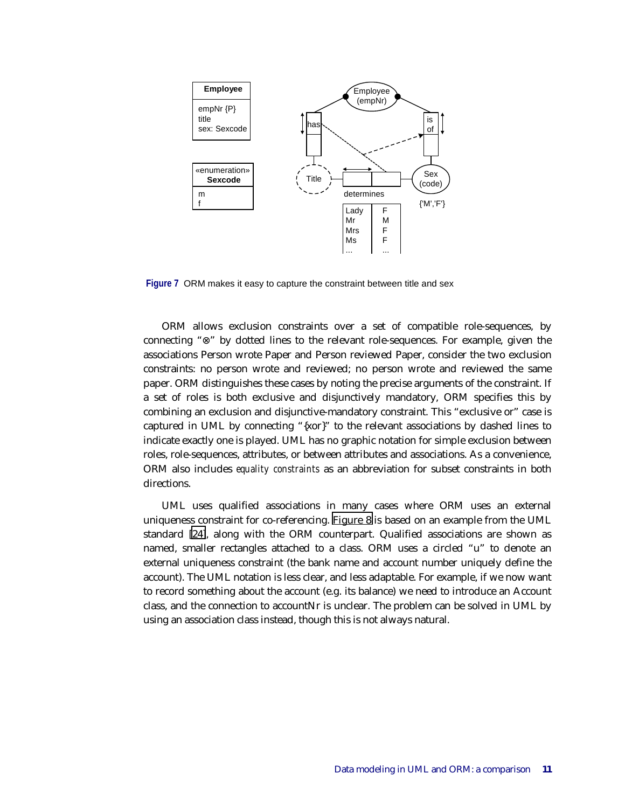<span id="page-10-0"></span>

**Figure 7** ORM makes it easy to capture the constraint between title and sex

ORM allows exclusion constraints over a set of compatible role-sequences, by connecting "⊗" by dotted lines to the relevant role-sequences. For example, given the associations Person wrote Paper and Person reviewed Paper, consider the two exclusion constraints: no person wrote and reviewed; no person wrote and reviewed the same paper. ORM distinguishes these cases by noting the precise arguments of the constraint. If a set of roles is both exclusive and disjunctively mandatory, ORM specifies this by combining an exclusion and disjunctive-mandatory constraint. This "exclusive or" case is captured in UML by connecting "{xor}" to the relevant associations by dashed lines to indicate exactly one is played. UML has no graphic notation for simple exclusion between roles, role-sequences, attributes, or between attributes and associations. As a convenience, ORM also includes *equality constraints* as an abbreviation for subset constraints in both directions.

UML uses qualified associations in many cases where ORM uses an external uniqueness constraint for co-referencing. [Figure 8](#page-11-0) is based on an example from the UML standard [\[24\]](#page-16-0), along with the ORM counterpart. Qualified associations are shown as named, smaller rectangles attached to a class. ORM uses a circled "u" to denote an external uniqueness constraint (the bank name and account number uniquely define the account). The UML notation is less clear, and less adaptable. For example, if we now want to record something about the account (e.g. its balance) we need to introduce an Account class, and the connection to accountNr is unclear. The problem can be solved in UML by using an association class instead, though this is not always natural.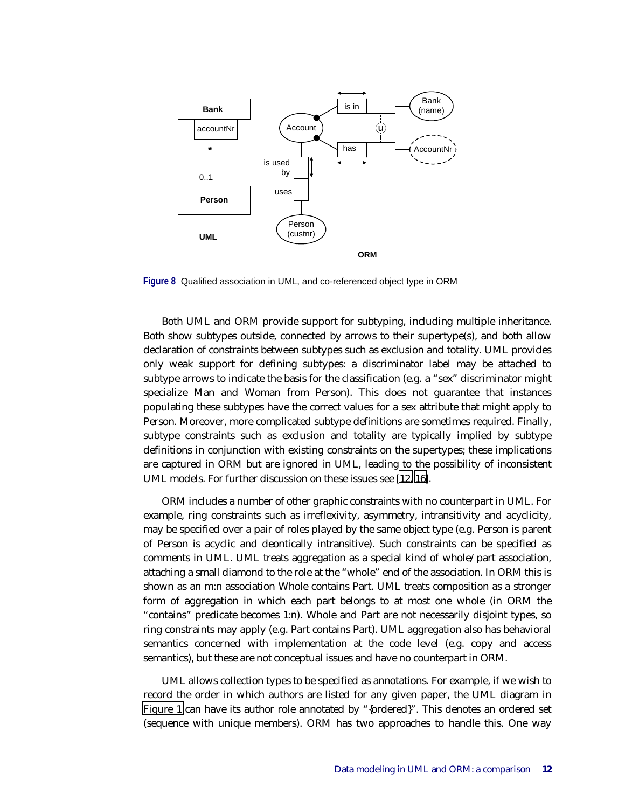<span id="page-11-0"></span>

**Figure 8** Qualified association in UML, and co-referenced object type in ORM

Both UML and ORM provide support for subtyping, including multiple inheritance. Both show subtypes outside, connected by arrows to their supertype(s), and both allow declaration of constraints between subtypes such as exclusion and totality. UML provides only weak support for defining subtypes: a discriminator label may be attached to subtype arrows to indicate the basis for the classification (e.g. a "sex" discriminator might specialize Man and Woman from Person). This does not guarantee that instances populating these subtypes have the correct values for a sex attribute that might apply to Person. Moreover, more complicated subtype definitions are sometimes required. Finally, subtype constraints such as exclusion and totality are typically implied by subtype definitions in conjunction with existing constraints on the supertypes; these implications are captured in ORM but are ignored in UML, leading to the possibility of inconsistent UML models. For further discussion on these issues see [\[12, 16\]](#page-16-0).

ORM includes a number of other graphic constraints with no counterpart in UML. For example, ring constraints such as irreflexivity, asymmetry, intransitivity and acyclicity, may be specified over a pair of roles played by the same object type (e.g. Person is parent of Person is acyclic and deontically intransitive). Such constraints can be specified as comments in UML. UML treats aggregation as a special kind of whole/part association, attaching a small diamond to the role at the "whole" end of the association. In ORM this is shown as an m:n association Whole contains Part. UML treats composition as a stronger form of aggregation in which each part belongs to at most one whole (in ORM the "contains" predicate becomes 1:n). Whole and Part are not necessarily disjoint types, so ring constraints may apply (e.g. Part contains Part). UML aggregation also has behavioral semantics concerned with implementation at the code level (e.g. copy and access semantics), but these are not conceptual issues and have no counterpart in ORM.

UML allows collection types to be specified as annotations. For example, if we wish to record the order in which authors are listed for any given paper, the UML diagram in [Figure 1](#page-5-0) can have its author role annotated by "{ordered}". This denotes an ordered set (sequence with unique members). ORM has two approaches to handle this. One way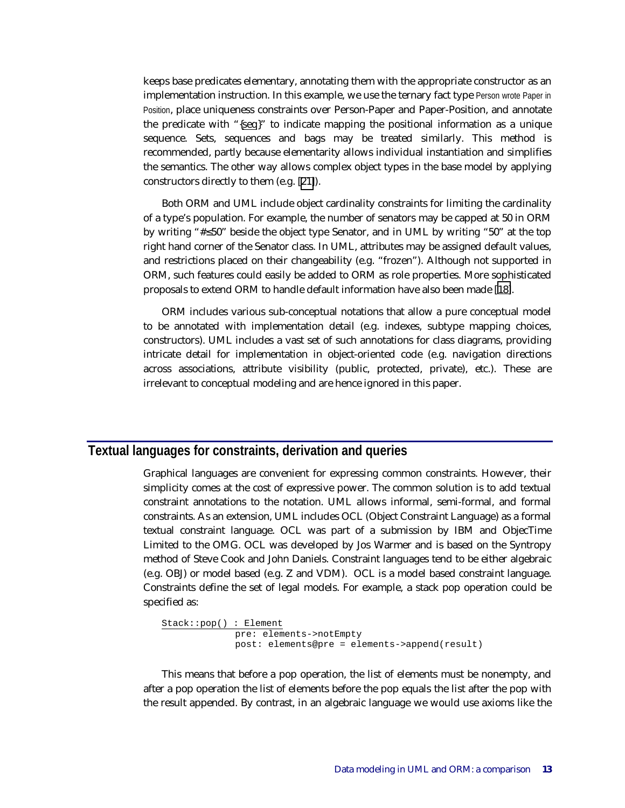keeps base predicates elementary, annotating them with the appropriate constructor as an implementation instruction. In this example, we use the ternary fact type Person wrote Paper in Position, place uniqueness constraints over Person-Paper and Paper-Position, and annotate the predicate with "{seq}" to indicate mapping the positional information as a unique sequence. Sets, sequences and bags may be treated similarly. This method is recommended, partly because elementarity allows individual instantiation and simplifies the semantics. The other way allows complex object types in the base model by applying constructors directly to them (e.g. [[21\]](#page-16-0)).

Both ORM and UML include object cardinality constraints for limiting the cardinality of a type's population. For example, the number of senators may be capped at 50 in ORM by writing "#≤50" beside the object type Senator, and in UML by writing "50" at the top right hand corner of the Senator class. In UML, attributes may be assigned default values, and restrictions placed on their changeability (e.g. "frozen"). Although not supported in ORM, such features could easily be added to ORM as role properties. More sophisticated proposals to extend ORM to handle default information have also been made [[18\]](#page-16-0).

ORM includes various sub-conceptual notations that allow a pure conceptual model to be annotated with implementation detail (e.g. indexes, subtype mapping choices, constructors). UML includes a vast set of such annotations for class diagrams, providing intricate detail for implementation in object-oriented code (e.g. navigation directions across associations, attribute visibility (public, protected, private), etc.). These are irrelevant to conceptual modeling and are hence ignored in this paper.

#### **Textual languages for constraints, derivation and queries**

Graphical languages are convenient for expressing common constraints. However, their simplicity comes at the cost of expressive power. The common solution is to add textual constraint annotations to the notation. UML allows informal, semi-formal, and formal constraints. As an extension, UML includes OCL (Object Constraint Language) as a formal textual constraint language. OCL was part of a submission by IBM and ObjecTime Limited to the OMG. OCL was developed by Jos Warmer and is based on the Syntropy method of Steve Cook and John Daniels. Constraint languages tend to be either algebraic (e.g. OBJ) or model based (e.g. Z and VDM). OCL is a model based constraint language. Constraints define the set of legal models. For example, a stack pop operation could be specified as:

Stack::pop() : Element pre: elements->notEmpty post: elements@pre = elements->append(result)

This means that before a pop operation, the list of elements must be nonempty, and after a pop operation the list of elements before the pop equals the list after the pop with the result appended. By contrast, in an algebraic language we would use axioms like the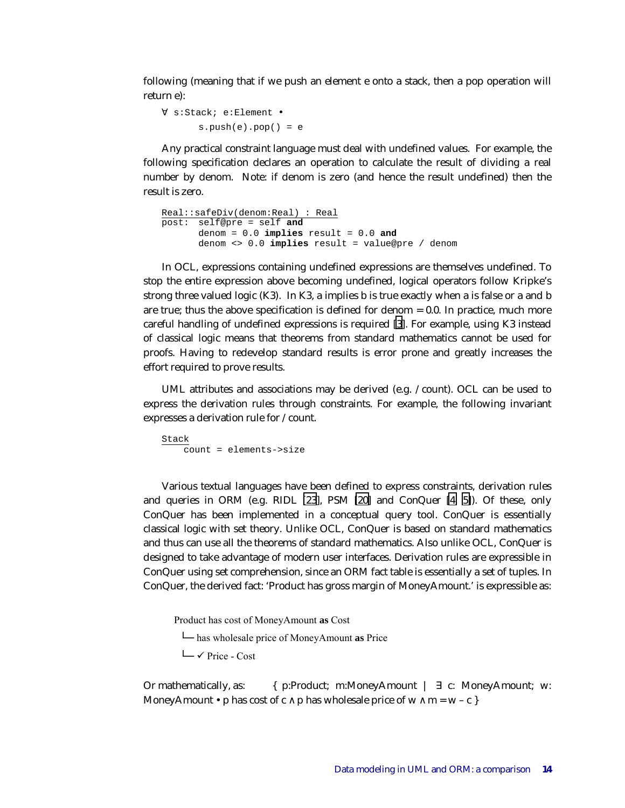following (meaning that if we push an element e onto a stack, then a pop operation will return e):

```
∀ s:Stack; e:Element •
      s.push(e).pop() = e
```
Any practical constraint language must deal with undefined values. For example, the following specification declares an operation to calculate the result of dividing a real number by denom. Note: if denom is zero (and hence the result undefined) then the result is zero.

```
Real::safeDiv(denom:Real) : Real
post: self@pre = self and
      denom = 0.0 implies result = 0.0 and
      denom <> 0.0 implies result = value@pre / denom
```
In OCL, expressions containing undefined expressions are themselves undefined. To stop the entire expression above becoming undefined, logical operators follow Kripke's strong three valued logic (K3). In K3, a implies b is true exactly when a is false or a and b are true; thus the above specification is defined for denom  $= 0.0$ . In practice, much more careful handling of undefined expressions is required [\[3\]](#page-15-0). For example, using K3 instead of classical logic means that theorems from standard mathematics cannot be used for proofs. Having to redevelop standard results is error prone and greatly increases the effort required to prove results.

UML attributes and associations may be derived (e.g. /count). OCL can be used to express the derivation rules through constraints. For example, the following invariant expresses a derivation rule for /count.

```
Stack
    count = elements->size
```
Various textual languages have been defined to express constraints, derivation rules and queries in ORM (e.g. RIDL [\[23\]](#page-16-0), PSM [\[20\]](#page-16-0) and ConQuer [\[4,](#page-15-0) [5\]](#page-15-0)). Of these, only ConQuer has been implemented in a conceptual query tool. ConQuer is essentially classical logic with set theory. Unlike OCL, ConQuer is based on standard mathematics and thus can use all the theorems of standard mathematics. Also unlike OCL, ConQuer is designed to take advantage of modern user interfaces. Derivation rules are expressible in ConQuer using set comprehension, since an ORM fact table is essentially a set of tuples. In ConQuer, the derived fact: 'Product has gross margin of MoneyAmount.' is expressible as:

Product has cost of MoneyAmount **as** Cost

└─ has wholesale price of MoneyAmount **as** Price

└─ Price - Cost

Or mathematically, as: { p:Product; m:MoneyAmount  $\vert \exists$  c: MoneyAmount; w: MoneyAmount • p has cost of  $c \land p$  has wholesale price of  $w \land m = w - c$  }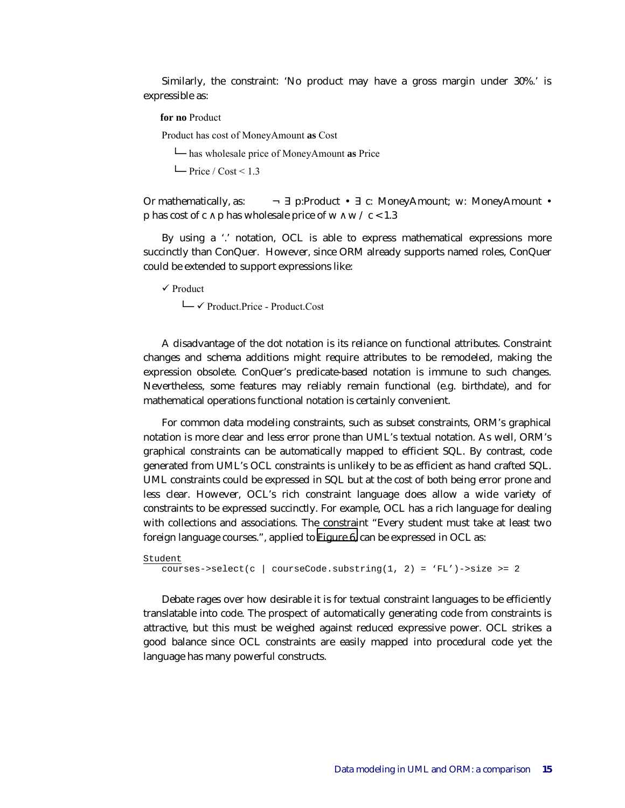Similarly, the constraint: 'No product may have a gross margin under 30%.' is expressible as:

**for no** Product

Product has cost of MoneyAmount **as** Cost

└─ has wholesale price of MoneyAmount **as** Price

 $\Box$  Price / Cost < 1.3

Or mathematically, as:  $\lnot \exists$  p:Product •  $\exists$  c: MoneyAmount; w: MoneyAmount • p has cost of c  $\land$  p has wholesale price of w  $\land$  w / c < 1.3

By using a '.' notation, OCL is able to express mathematical expressions more succinctly than ConQuer. However, since ORM already supports named roles, ConQuer could be extended to support expressions like:

 $\checkmark$  Product

└─ Product.Price - Product.Cost

A disadvantage of the dot notation is its reliance on functional attributes. Constraint changes and schema additions might require attributes to be remodeled, making the expression obsolete. ConQuer's predicate-based notation is immune to such changes. Nevertheless, some features may reliably remain functional (e.g. birthdate), and for mathematical operations functional notation is certainly convenient.

For common data modeling constraints, such as subset constraints, ORM's graphical notation is more clear and less error prone than UML's textual notation. As well, ORM's graphical constraints can be automatically mapped to efficient SQL. By contrast, code generated from UML's OCL constraints is unlikely to be as efficient as hand crafted SQL. UML constraints could be expressed in SQL but at the cost of both being error prone and less clear. However, OCL's rich constraint language does allow a wide variety of constraints to be expressed succinctly. For example, OCL has a rich language for dealing with collections and associations. The constraint "Every student must take at least two foreign language courses.", applied to [Figure 6,](#page-9-0) can be expressed in OCL as:

```
Student
    \overline{\text{course}}->select(c | courseCode.substring(1, 2) = 'FL')->size >= 2
```
Debate rages over how desirable it is for textual constraint languages to be efficiently translatable into code. The prospect of automatically generating code from constraints is attractive, but this must be weighed against reduced expressive power. OCL strikes a good balance since OCL constraints are easily mapped into procedural code yet the language has many powerful constructs.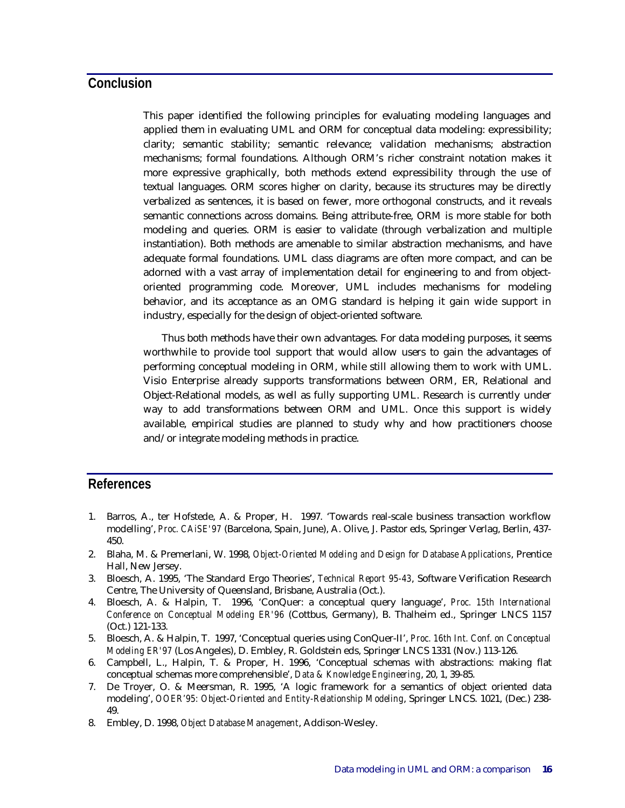## <span id="page-15-0"></span>**Conclusion**

This paper identified the following principles for evaluating modeling languages and applied them in evaluating UML and ORM for conceptual data modeling: expressibility; clarity; semantic stability; semantic relevance; validation mechanisms; abstraction mechanisms; formal foundations. Although ORM's richer constraint notation makes it more expressive graphically, both methods extend expressibility through the use of textual languages. ORM scores higher on clarity, because its structures may be directly verbalized as sentences, it is based on fewer, more orthogonal constructs, and it reveals semantic connections across domains. Being attribute-free, ORM is more stable for both modeling and queries. ORM is easier to validate (through verbalization and multiple instantiation). Both methods are amenable to similar abstraction mechanisms, and have adequate formal foundations. UML class diagrams are often more compact, and can be adorned with a vast array of implementation detail for engineering to and from objectoriented programming code. Moreover, UML includes mechanisms for modeling behavior, and its acceptance as an OMG standard is helping it gain wide support in industry, especially for the design of object-oriented software.

Thus both methods have their own advantages. For data modeling purposes, it seems worthwhile to provide tool support that would allow users to gain the advantages of performing conceptual modeling in ORM, while still allowing them to work with UML. Visio Enterprise already supports transformations between ORM, ER, Relational and Object-Relational models, as well as fully supporting UML. Research is currently under way to add transformations between ORM and UML. Once this support is widely available, empirical studies are planned to study why and how practitioners choose and/or integrate modeling methods in practice.

### **References**

- 1. Barros, A., ter Hofstede, A. & Proper, H. 1997. 'Towards real-scale business transaction workflow modelling', *Proc. CAiSE'97* (Barcelona, Spain, June), A. Olive, J. Pastor eds, Springer Verlag, Berlin, 437- 450.
- 2. Blaha, M. & Premerlani, W. 1998, *Object-Oriented Modeling and Design for Database Applications*, Prentice Hall, New Jersey.
- 3. Bloesch, A. 1995, 'The Standard Ergo Theories', *Technical Report 95-43*, Software Verification Research Centre, The University of Queensland, Brisbane, Australia (Oct.).
- 4. Bloesch, A. & Halpin, T. 1996, 'ConQuer: a conceptual query language', *Proc. 15th International Conference on Conceptual Modeling ER'96* (Cottbus, Germany), B. Thalheim ed., Springer LNCS 1157 (Oct.) 121-133.
- 5. Bloesch, A. & Halpin, T. 1997, 'Conceptual queries using ConQuer-II', *Proc. 16th Int. Conf. on Conceptual Modeling ER'97* (Los Angeles), D. Embley, R. Goldstein eds, Springer LNCS 1331 (Nov.) 113-126.
- 6. Campbell, L., Halpin, T. & Proper, H. 1996, 'Conceptual schemas with abstractions: making flat conceptual schemas more comprehensible', *Data & Knowledge Engineering*, 20, 1, 39-85.
- 7. De Troyer, O. & Meersman, R. 1995, 'A logic framework for a semantics of object oriented data modeling', *OOER'95: Object-Oriented and Entity-Relationship Modeling*, Springer LNCS. 1021, (Dec.) 238- 49.
- 8. Embley, D. 1998, *Object Database Management*, Addison-Wesley.